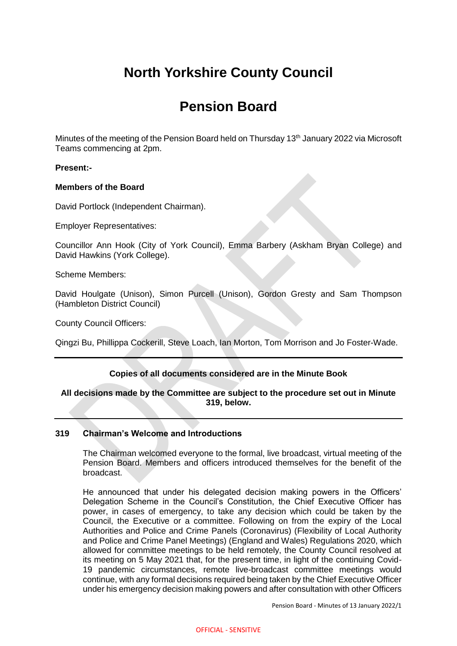# **North Yorkshire County Council**

# **Pension Board**

Minutes of the meeting of the Pension Board held on Thursday 13<sup>th</sup> January 2022 via Microsoft Teams commencing at 2pm.

## **Present:-**

#### **Members of the Board**

David Portlock (Independent Chairman).

Employer Representatives:

Councillor Ann Hook (City of York Council), Emma Barbery (Askham Bryan College) and David Hawkins (York College).

Scheme Members:

David Houlgate (Unison), Simon Purcell (Unison), Gordon Gresty and Sam Thompson (Hambleton District Council)

County Council Officers:

Qingzi Bu, Phillippa Cockerill, Steve Loach, Ian Morton, Tom Morrison and Jo Foster-Wade.

# **Copies of all documents considered are in the Minute Book**

## **All decisions made by the Committee are subject to the procedure set out in Minute 319, below.**

## **319 Chairman's Welcome and Introductions**

The Chairman welcomed everyone to the formal, live broadcast, virtual meeting of the Pension Board. Members and officers introduced themselves for the benefit of the broadcast.

He announced that under his delegated decision making powers in the Officers' Delegation Scheme in the Council's Constitution, the Chief Executive Officer has power, in cases of emergency, to take any decision which could be taken by the Council, the Executive or a committee. Following on from the expiry of the Local Authorities and Police and Crime Panels (Coronavirus) (Flexibility of Local Authority and Police and Crime Panel Meetings) (England and Wales) Regulations 2020, which allowed for committee meetings to be held remotely, the County Council resolved at its meeting on 5 May 2021 that, for the present time, in light of the continuing Covid-19 pandemic circumstances, remote live-broadcast committee meetings would continue, with any formal decisions required being taken by the Chief Executive Officer under his emergency decision making powers and after consultation with other Officers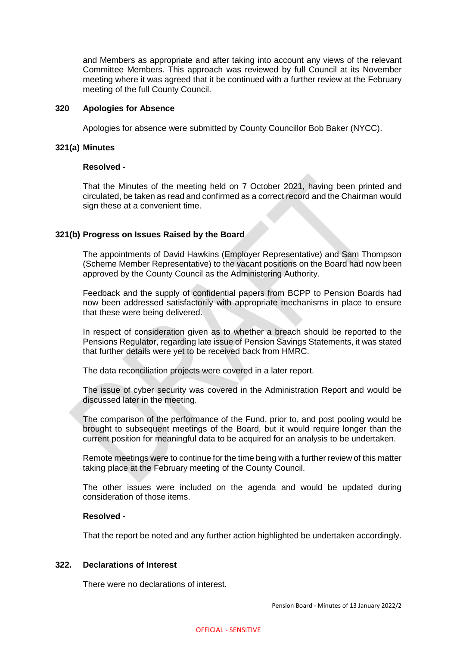and Members as appropriate and after taking into account any views of the relevant Committee Members. This approach was reviewed by full Council at its November meeting where it was agreed that it be continued with a further review at the February meeting of the full County Council.

#### **320 Apologies for Absence**

Apologies for absence were submitted by County Councillor Bob Baker (NYCC).

#### **321(a) Minutes**

#### **Resolved -**

That the Minutes of the meeting held on 7 October 2021, having been printed and circulated, be taken as read and confirmed as a correct record and the Chairman would sign these at a convenient time.

#### **321(b) Progress on Issues Raised by the Board**

The appointments of David Hawkins (Employer Representative) and Sam Thompson (Scheme Member Representative) to the vacant positions on the Board had now been approved by the County Council as the Administering Authority.

Feedback and the supply of confidential papers from BCPP to Pension Boards had now been addressed satisfactorily with appropriate mechanisms in place to ensure that these were being delivered.

In respect of consideration given as to whether a breach should be reported to the Pensions Regulator, regarding late issue of Pension Savings Statements, it was stated that further details were yet to be received back from HMRC.

The data reconciliation projects were covered in a later report.

The issue of cyber security was covered in the Administration Report and would be discussed later in the meeting.

The comparison of the performance of the Fund, prior to, and post pooling would be brought to subsequent meetings of the Board, but it would require longer than the current position for meaningful data to be acquired for an analysis to be undertaken.

Remote meetings were to continue for the time being with a further review of this matter taking place at the February meeting of the County Council.

The other issues were included on the agenda and would be updated during consideration of those items.

## **Resolved -**

That the report be noted and any further action highlighted be undertaken accordingly.

#### **322. Declarations of Interest**

There were no declarations of interest.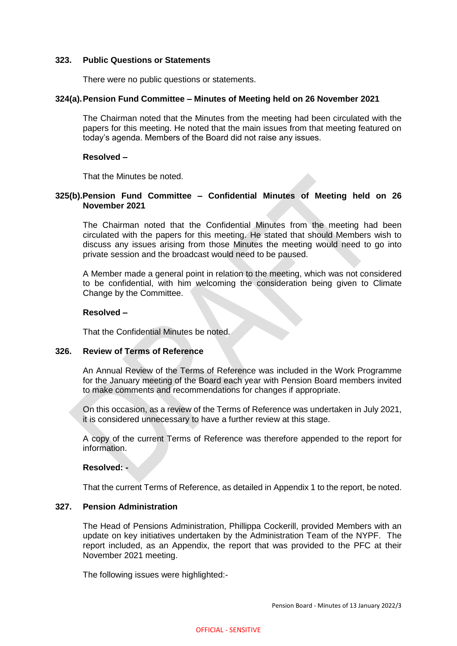#### **323. Public Questions or Statements**

There were no public questions or statements.

#### **324(a).Pension Fund Committee – Minutes of Meeting held on 26 November 2021**

The Chairman noted that the Minutes from the meeting had been circulated with the papers for this meeting. He noted that the main issues from that meeting featured on today's agenda. Members of the Board did not raise any issues.

#### **Resolved –**

That the Minutes be noted.

## **325(b).Pension Fund Committee – Confidential Minutes of Meeting held on 26 November 2021**

The Chairman noted that the Confidential Minutes from the meeting had been circulated with the papers for this meeting. He stated that should Members wish to discuss any issues arising from those Minutes the meeting would need to go into private session and the broadcast would need to be paused.

A Member made a general point in relation to the meeting, which was not considered to be confidential, with him welcoming the consideration being given to Climate Change by the Committee.

## **Resolved –**

That the Confidential Minutes be noted.

#### **326. Review of Terms of Reference**

An Annual Review of the Terms of Reference was included in the Work Programme for the January meeting of the Board each year with Pension Board members invited to make comments and recommendations for changes if appropriate.

On this occasion, as a review of the Terms of Reference was undertaken in July 2021, it is considered unnecessary to have a further review at this stage.

A copy of the current Terms of Reference was therefore appended to the report for information.

#### **Resolved: -**

That the current Terms of Reference, as detailed in Appendix 1 to the report, be noted.

#### **327. Pension Administration**

The Head of Pensions Administration, Phillippa Cockerill, provided Members with an update on key initiatives undertaken by the Administration Team of the NYPF. The report included, as an Appendix, the report that was provided to the PFC at their November 2021 meeting.

The following issues were highlighted:-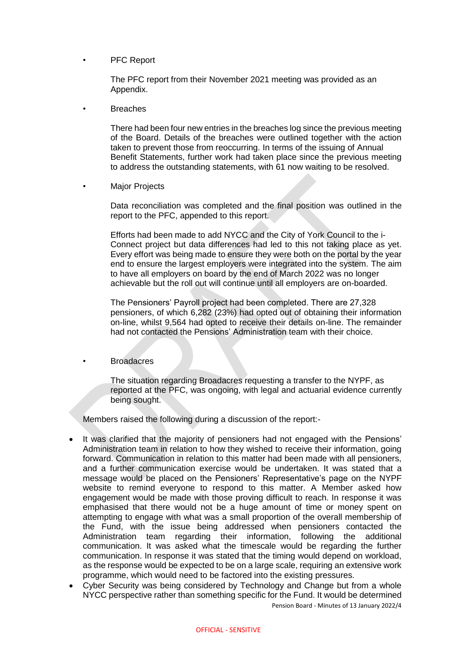PFC Report

The PFC report from their November 2021 meeting was provided as an Appendix.

**Breaches** 

There had been four new entries in the breaches log since the previous meeting of the Board. Details of the breaches were outlined together with the action taken to prevent those from reoccurring. In terms of the issuing of Annual Benefit Statements, further work had taken place since the previous meeting to address the outstanding statements, with 61 now waiting to be resolved.

**Major Projects** 

Data reconciliation was completed and the final position was outlined in the report to the PFC, appended to this report.

Efforts had been made to add NYCC and the City of York Council to the i-Connect project but data differences had led to this not taking place as yet. Every effort was being made to ensure they were both on the portal by the year end to ensure the largest employers were integrated into the system. The aim to have all employers on board by the end of March 2022 was no longer achievable but the roll out will continue until all employers are on-boarded.

The Pensioners' Payroll project had been completed. There are 27,328 pensioners, of which 6,282 (23%) had opted out of obtaining their information on-line, whilst 9,564 had opted to receive their details on-line. The remainder had not contacted the Pensions' Administration team with their choice.

**Broadacres** 

The situation regarding Broadacres requesting a transfer to the NYPF, as reported at the PFC, was ongoing, with legal and actuarial evidence currently being sought.

Members raised the following during a discussion of the report:-

- It was clarified that the majority of pensioners had not engaged with the Pensions' Administration team in relation to how they wished to receive their information, going forward. Communication in relation to this matter had been made with all pensioners, and a further communication exercise would be undertaken. It was stated that a message would be placed on the Pensioners' Representative's page on the NYPF website to remind everyone to respond to this matter. A Member asked how engagement would be made with those proving difficult to reach. In response it was emphasised that there would not be a huge amount of time or money spent on attempting to engage with what was a small proportion of the overall membership of the Fund, with the issue being addressed when pensioners contacted the Administration team regarding their information, following the additional communication. It was asked what the timescale would be regarding the further communication. In response it was stated that the timing would depend on workload, as the response would be expected to be on a large scale, requiring an extensive work programme, which would need to be factored into the existing pressures.
- Pension Board Minutes of 13 January 2022/4 Cyber Security was being considered by Technology and Change but from a whole NYCC perspective rather than something specific for the Fund. It would be determined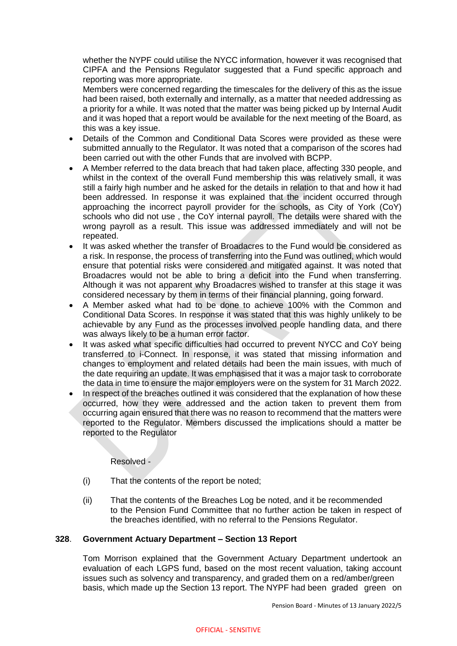whether the NYPF could utilise the NYCC information, however it was recognised that CIPFA and the Pensions Regulator suggested that a Fund specific approach and reporting was more appropriate.

Members were concerned regarding the timescales for the delivery of this as the issue had been raised, both externally and internally, as a matter that needed addressing as a priority for a while. It was noted that the matter was being picked up by Internal Audit and it was hoped that a report would be available for the next meeting of the Board, as this was a key issue.

- Details of the Common and Conditional Data Scores were provided as these were submitted annually to the Regulator. It was noted that a comparison of the scores had been carried out with the other Funds that are involved with BCPP.
- A Member referred to the data breach that had taken place, affecting 330 people, and whilst in the context of the overall Fund membership this was relatively small, it was still a fairly high number and he asked for the details in relation to that and how it had been addressed. In response it was explained that the incident occurred through approaching the incorrect payroll provider for the schools, as City of York (CoY) schools who did not use , the CoY internal payroll. The details were shared with the wrong payroll as a result. This issue was addressed immediately and will not be repeated.
- It was asked whether the transfer of Broadacres to the Fund would be considered as a risk. In response, the process of transferring into the Fund was outlined, which would ensure that potential risks were considered and mitigated against. It was noted that Broadacres would not be able to bring a deficit into the Fund when transferring. Although it was not apparent why Broadacres wished to transfer at this stage it was considered necessary by them in terms of their financial planning, going forward.
- A Member asked what had to be done to achieve 100% with the Common and Conditional Data Scores. In response it was stated that this was highly unlikely to be achievable by any Fund as the processes involved people handling data, and there was always likely to be a human error factor.
- It was asked what specific difficulties had occurred to prevent NYCC and CoY being transferred to i-Connect. In response, it was stated that missing information and changes to employment and related details had been the main issues, with much of the date requiring an update. It was emphasised that it was a major task to corroborate the data in time to ensure the major employers were on the system for 31 March 2022.
- In respect of the breaches outlined it was considered that the explanation of how these occurred, how they were addressed and the action taken to prevent them from occurring again ensured that there was no reason to recommend that the matters were reported to the Regulator. Members discussed the implications should a matter be reported to the Regulator

Resolved -

- (i) That the contents of the report be noted;
- (ii) That the contents of the Breaches Log be noted, and it be recommended to the Pension Fund Committee that no further action be taken in respect of the breaches identified, with no referral to the Pensions Regulator.

# **328**. **Government Actuary Department – Section 13 Report**

Tom Morrison explained that the Government Actuary Department undertook an evaluation of each LGPS fund, based on the most recent valuation, taking account issues such as solvency and transparency, and graded them on a red/amber/green basis, which made up the Section 13 report. The NYPF had been graded green on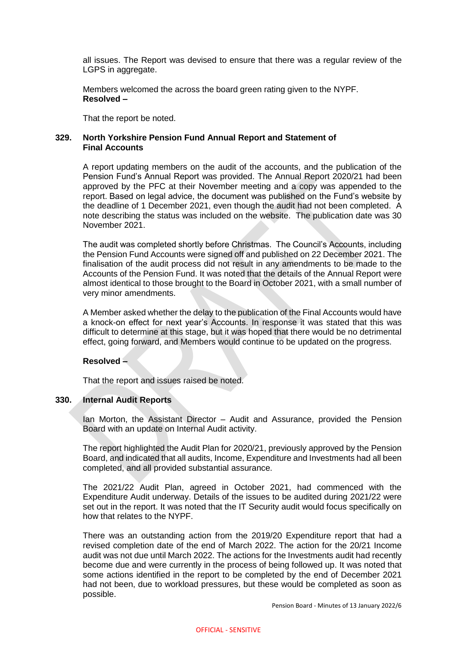all issues. The Report was devised to ensure that there was a regular review of the LGPS in aggregate.

Members welcomed the across the board green rating given to the NYPF. **Resolved –**

That the report be noted.

## **329. North Yorkshire Pension Fund Annual Report and Statement of Final Accounts**

A report updating members on the audit of the accounts, and the publication of the Pension Fund's Annual Report was provided. The Annual Report 2020/21 had been approved by the PFC at their November meeting and a copy was appended to the report. Based on legal advice, the document was published on the Fund's website by the deadline of 1 December 2021, even though the audit had not been completed. A note describing the status was included on the website. The publication date was 30 November 2021.

The audit was completed shortly before Christmas. The Council's Accounts, including the Pension Fund Accounts were signed off and published on 22 December 2021. The finalisation of the audit process did not result in any amendments to be made to the Accounts of the Pension Fund. It was noted that the details of the Annual Report were almost identical to those brought to the Board in October 2021, with a small number of very minor amendments.

A Member asked whether the delay to the publication of the Final Accounts would have a knock-on effect for next year's Accounts. In response it was stated that this was difficult to determine at this stage, but it was hoped that there would be no detrimental effect, going forward, and Members would continue to be updated on the progress.

# **Resolved –**

That the report and issues raised be noted.

## **330. Internal Audit Reports**

Ian Morton, the Assistant Director – Audit and Assurance, provided the Pension Board with an update on Internal Audit activity.

The report highlighted the Audit Plan for 2020/21, previously approved by the Pension Board, and indicated that all audits, Income, Expenditure and Investments had all been completed, and all provided substantial assurance.

The 2021/22 Audit Plan, agreed in October 2021, had commenced with the Expenditure Audit underway. Details of the issues to be audited during 2021/22 were set out in the report. It was noted that the IT Security audit would focus specifically on how that relates to the NYPF.

There was an outstanding action from the 2019/20 Expenditure report that had a revised completion date of the end of March 2022. The action for the 20/21 Income audit was not due until March 2022. The actions for the Investments audit had recently become due and were currently in the process of being followed up. It was noted that some actions identified in the report to be completed by the end of December 2021 had not been, due to workload pressures, but these would be completed as soon as possible.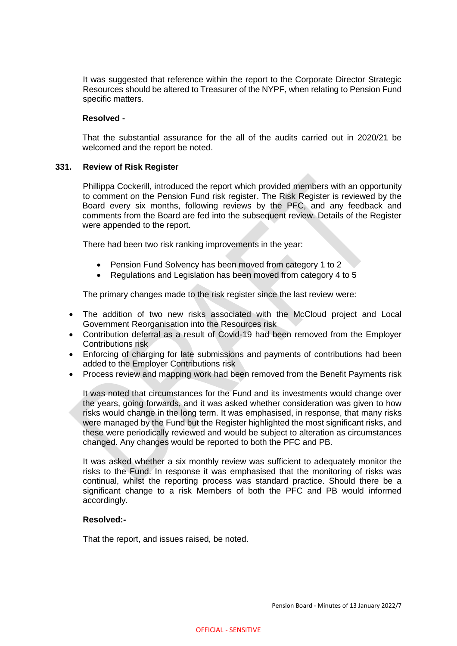It was suggested that reference within the report to the Corporate Director Strategic Resources should be altered to Treasurer of the NYPF, when relating to Pension Fund specific matters.

## **Resolved -**

That the substantial assurance for the all of the audits carried out in 2020/21 be welcomed and the report be noted.

## **331. Review of Risk Register**

Phillippa Cockerill, introduced the report which provided members with an opportunity to comment on the Pension Fund risk register. The Risk Register is reviewed by the Board every six months, following reviews by the PFC, and any feedback and comments from the Board are fed into the subsequent review. Details of the Register were appended to the report.

There had been two risk ranking improvements in the year:

- Pension Fund Solvency has been moved from category 1 to 2
- Regulations and Legislation has been moved from category 4 to 5

The primary changes made to the risk register since the last review were:

- The addition of two new risks associated with the McCloud project and Local Government Reorganisation into the Resources risk
- Contribution deferral as a result of Covid-19 had been removed from the Employer Contributions risk
- Enforcing of charging for late submissions and payments of contributions had been added to the Employer Contributions risk
- Process review and mapping work had been removed from the Benefit Payments risk

It was noted that circumstances for the Fund and its investments would change over the years, going forwards, and it was asked whether consideration was given to how risks would change in the long term. It was emphasised, in response, that many risks were managed by the Fund but the Register highlighted the most significant risks, and these were periodically reviewed and would be subject to alteration as circumstances changed. Any changes would be reported to both the PFC and PB.

It was asked whether a six monthly review was sufficient to adequately monitor the risks to the Fund. In response it was emphasised that the monitoring of risks was continual, whilst the reporting process was standard practice. Should there be a significant change to a risk Members of both the PFC and PB would informed accordingly.

#### **Resolved:-**

That the report, and issues raised, be noted.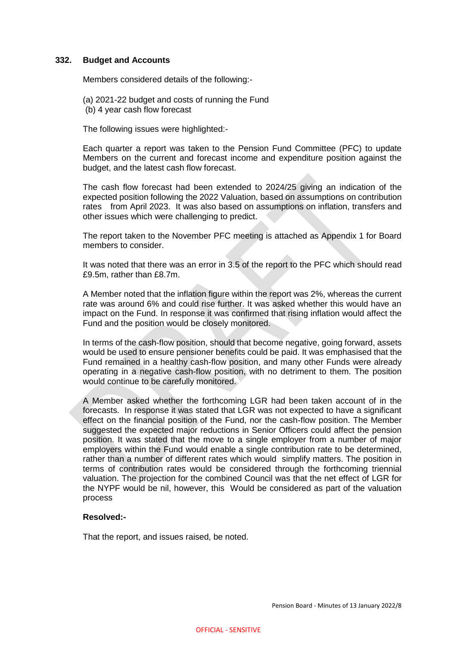#### **332. Budget and Accounts**

Members considered details of the following:-

(a) 2021-22 budget and costs of running the Fund (b) 4 year cash flow forecast

The following issues were highlighted:-

Each quarter a report was taken to the Pension Fund Committee (PFC) to update Members on the current and forecast income and expenditure position against the budget, and the latest cash flow forecast.

The cash flow forecast had been extended to 2024/25 giving an indication of the expected position following the 2022 Valuation, based on assumptions on contribution rates from April 2023. It was also based on assumptions on inflation, transfers and other issues which were challenging to predict.

The report taken to the November PFC meeting is attached as Appendix 1 for Board members to consider.

It was noted that there was an error in 3.5 of the report to the PFC which should read £9.5m, rather than £8.7m.

A Member noted that the inflation figure within the report was 2%, whereas the current rate was around 6% and could rise further. It was asked whether this would have an impact on the Fund. In response it was confirmed that rising inflation would affect the Fund and the position would be closely monitored.

In terms of the cash-flow position, should that become negative, going forward, assets would be used to ensure pensioner benefits could be paid. It was emphasised that the Fund remained in a healthy cash-flow position, and many other Funds were already operating in a negative cash-flow position, with no detriment to them. The position would continue to be carefully monitored.

A Member asked whether the forthcoming LGR had been taken account of in the forecasts. In response it was stated that LGR was not expected to have a significant effect on the financial position of the Fund, nor the cash-flow position. The Member suggested the expected major reductions in Senior Officers could affect the pension position. It was stated that the move to a single employer from a number of major employers within the Fund would enable a single contribution rate to be determined, rather than a number of different rates which would simplify matters. The position in terms of contribution rates would be considered through the forthcoming triennial valuation. The projection for the combined Council was that the net effect of LGR for the NYPF would be nil, however, this Would be considered as part of the valuation process

#### **Resolved:-**

That the report, and issues raised, be noted.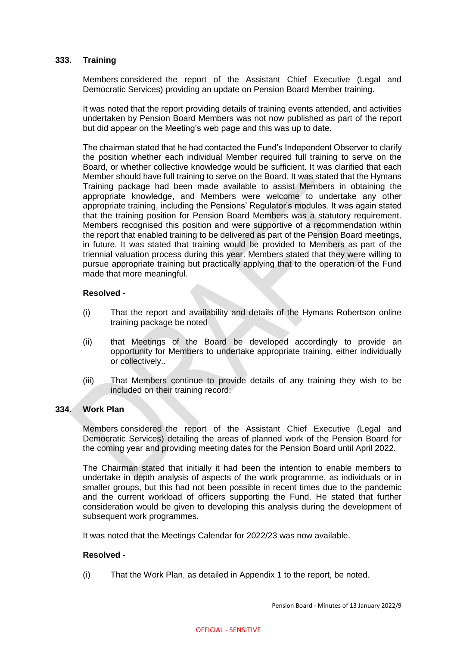## **333. Training**

Members considered the report of the Assistant Chief Executive (Legal and Democratic Services) providing an update on Pension Board Member training.

It was noted that the report providing details of training events attended, and activities undertaken by Pension Board Members was not now published as part of the report but did appear on the Meeting's web page and this was up to date.

The chairman stated that he had contacted the Fund's Independent Observer to clarify the position whether each individual Member required full training to serve on the Board, or whether collective knowledge would be sufficient. It was clarified that each Member should have full training to serve on the Board. It was stated that the Hymans Training package had been made available to assist Members in obtaining the appropriate knowledge, and Members were welcome to undertake any other appropriate training, including the Pensions' Regulator's modules. It was again stated that the training position for Pension Board Members was a statutory requirement. Members recognised this position and were supportive of a recommendation within the report that enabled training to be delivered as part of the Pension Board meetings, in future. It was stated that training would be provided to Members as part of the triennial valuation process during this year. Members stated that they were willing to pursue appropriate training but practically applying that to the operation of the Fund made that more meaningful.

#### **Resolved -**

- (i) That the report and availability and details of the Hymans Robertson online training package be noted
- (ii) that Meetings of the Board be developed accordingly to provide an opportunity for Members to undertake appropriate training, either individually or collectively..
- (iii) That Members continue to provide details of any training they wish to be included on their training record:

#### **334. Work Plan**

Members considered the report of the Assistant Chief Executive (Legal and Democratic Services) detailing the areas of planned work of the Pension Board for the coming year and providing meeting dates for the Pension Board until April 2022.

The Chairman stated that initially it had been the intention to enable members to undertake in depth analysis of aspects of the work programme, as individuals or in smaller groups, but this had not been possible in recent times due to the pandemic and the current workload of officers supporting the Fund. He stated that further consideration would be given to developing this analysis during the development of subsequent work programmes.

It was noted that the Meetings Calendar for 2022/23 was now available.

### **Resolved -**

(i) That the Work Plan, as detailed in Appendix 1 to the report, be noted.